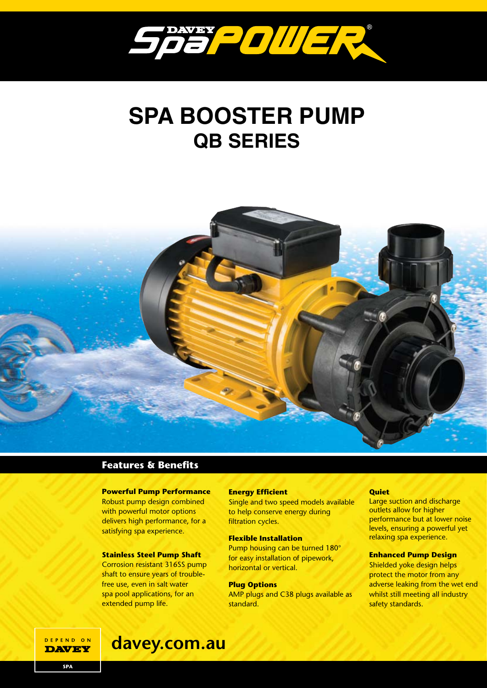

# **SPA BOOSTER PUMP QB SERIES**



## **Features & Benefits**

### **Powerful Pump Performance**

Robust pump design combined with powerful motor options delivers high performance, for a satisfying spa experience.

#### **Stainless Steel Pump Shaft**

Corrosion resistant 316SS pump shaft to ensure years of troublefree use, even in salt water spa pool applications, for an extended pump life.

#### **Energy Efficient**

Single and two speed models available to help conserve energy during filtration cycles.

#### **Flexible Installation**

Pump housing can be turned 180° for easy installation of pipework, horizontal or vertical.

#### **Plug Options**

AMP plugs and C38 plugs available as standard.

#### **Quiet**

Large suction and discharge outlets allow for higher performance but at lower noise levels, ensuring a powerful yet relaxing spa experience.

#### **Enhanced Pump Design**

Shielded yoke design helps protect the motor from any adverse leaking from the wet end whilst still meeting all industry safety standards.

DEPEND ON **DAVEY** 

# **davey.com.au**

**SPA**